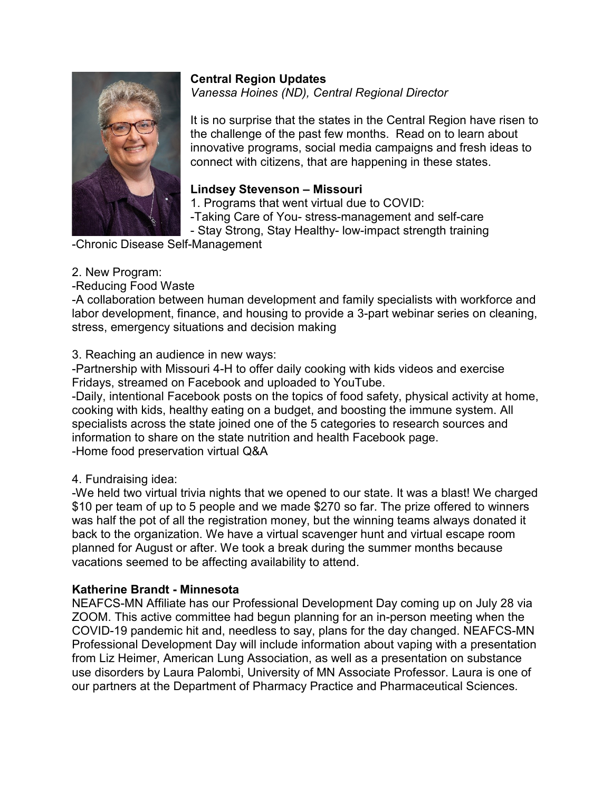

**Central Region Updates** *Vanessa Hoines (ND), Central Regional Director*

It is no surprise that the states in the Central Region have risen to the challenge of the past few months. Read on to learn about innovative programs, social media campaigns and fresh ideas to connect with citizens, that are happening in these states.

# **Lindsey Stevenson – Missouri**

1. Programs that went virtual due to COVID:

-Taking Care of You- stress-management and self-care

- Stay Strong, Stay Healthy- low-impact strength training

-Chronic Disease Self-Management

### 2. New Program:

-Reducing Food Waste

-A collaboration between human development and family specialists with workforce and labor development, finance, and housing to provide a 3-part webinar series on cleaning, stress, emergency situations and decision making

### 3. Reaching an audience in new ways:

-Partnership with Missouri 4-H to offer daily cooking with kids videos and exercise Fridays, streamed on Facebook and uploaded to YouTube.

-Daily, intentional Facebook posts on the topics of food safety, physical activity at home, cooking with kids, healthy eating on a budget, and boosting the immune system. All specialists across the state joined one of the 5 categories to research sources and information to share on the state nutrition and health Facebook page. -Home food preservation virtual Q&A

### 4. Fundraising idea:

-We held two virtual trivia nights that we opened to our state. It was a blast! We charged \$10 per team of up to 5 people and we made \$270 so far. The prize offered to winners was half the pot of all the registration money, but the winning teams always donated it back to the organization. We have a virtual scavenger hunt and virtual escape room planned for August or after. We took a break during the summer months because vacations seemed to be affecting availability to attend.

### **Katherine Brandt - Minnesota**

NEAFCS-MN Affiliate has our Professional Development Day coming up on July 28 via ZOOM. This active committee had begun planning for an in-person meeting when the COVID-19 pandemic hit and, needless to say, plans for the day changed. NEAFCS-MN Professional Development Day will include information about vaping with a presentation from Liz Heimer, American Lung Association, as well as a presentation on substance use disorders by Laura Palombi, University of MN Associate Professor. Laura is one of our partners at the Department of Pharmacy Practice and Pharmaceutical Sciences.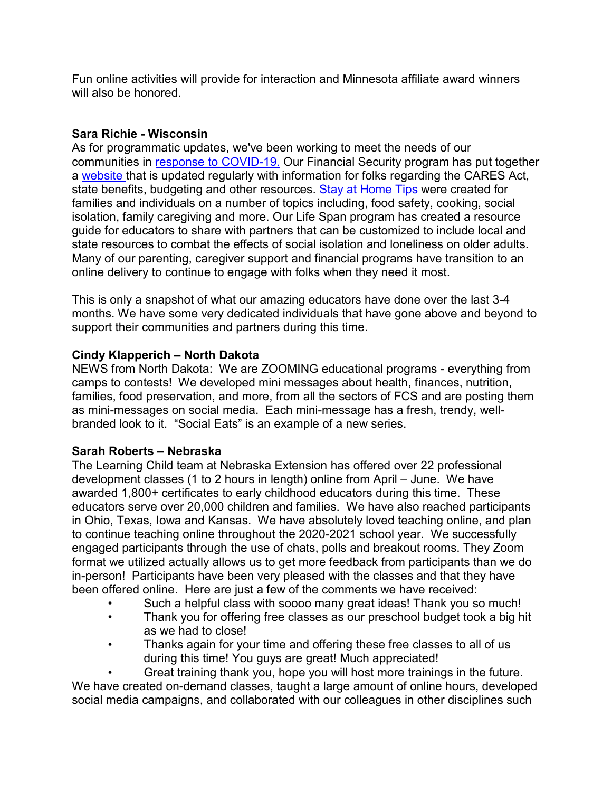Fun online activities will provide for interaction and Minnesota affiliate award winners will also be honored.

## **Sara Richie - Wisconsin**

As for programmatic updates, we've been working to meet the needs of our communities in [response to](https://fyi.extension.wisc.edu/covid19/category/topics/families/) COVID-19. Our Financial Security program has put together a [website t](https://fyi.extension.wisc.edu/toughtimes/covid-19-financial-resources/)hat is updated regularly with information for folks regarding the CARES Act, state benefits, budgeting and other resources. [Stay at Home Tips w](https://fyi.extension.wisc.edu/covid19/category/topics/families/stay-at-home-tips/)ere created for families and individuals on a number of topics including, food safety, cooking, social isolation, family caregiving and more. Our Life Span program has created a resource guide for educators to share with partners that can be customized to include local and state resources to combat the effects of social isolation and loneliness on older adults. Many of our parenting, caregiver support and financial programs have transition to an online delivery to continue to engage with folks when they need it most.

This is only a snapshot of what our amazing educators have done over the last 3-4 months. We have some very dedicated individuals that have gone above and beyond to support their communities and partners during this time.

### **Cindy Klapperich – North Dakota**

NEWS from North Dakota: We are ZOOMING educational programs - everything from camps to contests! We developed mini messages about health, finances, nutrition, families, food preservation, and more, from all the sectors of FCS and are posting them as mini-messages on social media. Each mini-message has a fresh, trendy, wellbranded look to it. "Social Eats" is an example of a new series.

### **Sarah Roberts – Nebraska**

The Learning Child team at Nebraska Extension has offered over 22 professional development classes (1 to 2 hours in length) online from April – June. We have awarded 1,800+ certificates to early childhood educators during this time. These educators serve over 20,000 children and families. We have also reached participants in Ohio, Texas, Iowa and Kansas. We have absolutely loved teaching online, and plan to continue teaching online throughout the 2020-2021 school year. We successfully engaged participants through the use of chats, polls and breakout rooms. They Zoom format we utilized actually allows us to get more feedback from participants than we do in-person! Participants have been very pleased with the classes and that they have been offered online. Here are just a few of the comments we have received:

- Such a helpful class with soooo many great ideas! Thank you so much!
- Thank you for offering free classes as our preschool budget took a big hit as we had to close!
- Thanks again for your time and offering these free classes to all of us during this time! You guys are great! Much appreciated!

• Great training thank you, hope you will host more trainings in the future. We have created on-demand classes, taught a large amount of online hours, developed social media campaigns, and collaborated with our colleagues in other disciplines such